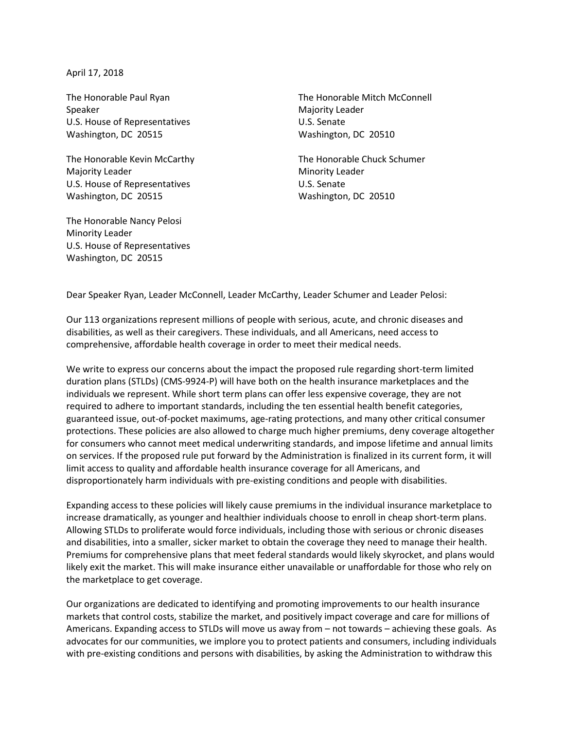April 17, 2018

Speaker Majority Leader Majority Leader U.S. House of Representatives U.S. Senate Washington, DC 20515 Washington, DC 20510

The Honorable Kevin McCarthy The Honorable Chuck Schumer Majority Leader **Minority Leader** Minority Leader U.S. House of Representatives U.S. Senate Washington, DC 20515 Washington, DC 20510

The Honorable Nancy Pelosi Minority Leader U.S. House of Representatives Washington, DC 20515

The Honorable Paul Ryan The Honorable Mitch McConnell

Dear Speaker Ryan, Leader McConnell, Leader McCarthy, Leader Schumer and Leader Pelosi:

Our 113 organizations represent millions of people with serious, acute, and chronic diseases and disabilities, as well as their caregivers. These individuals, and all Americans, need access to comprehensive, affordable health coverage in order to meet their medical needs.

We write to express our concerns about the impact the proposed rule regarding short-term limited duration plans (STLDs) (CMS-9924-P) will have both on the health insurance marketplaces and the individuals we represent. While short term plans can offer less expensive coverage, they are not required to adhere to important standards, including the ten essential health benefit categories, guaranteed issue, out-of-pocket maximums, age-rating protections, and many other critical consumer protections. These policies are also allowed to charge much higher premiums, deny coverage altogether for consumers who cannot meet medical underwriting standards, and impose lifetime and annual limits on services. If the proposed rule put forward by the Administration is finalized in its current form, it will limit access to quality and affordable health insurance coverage for all Americans, and disproportionately harm individuals with pre-existing conditions and people with disabilities.

Expanding access to these policies will likely cause premiums in the individual insurance marketplace to increase dramatically, as younger and healthier individuals choose to enroll in cheap short-term plans. Allowing STLDs to proliferate would force individuals, including those with serious or chronic diseases and disabilities, into a smaller, sicker market to obtain the coverage they need to manage their health. Premiums for comprehensive plans that meet federal standards would likely skyrocket, and plans would likely exit the market. This will make insurance either unavailable or unaffordable for those who rely on the marketplace to get coverage.

Our organizations are dedicated to identifying and promoting improvements to our health insurance markets that control costs, stabilize the market, and positively impact coverage and care for millions of Americans. Expanding access to STLDs will move us away from – not towards – achieving these goals. As advocates for our communities, we implore you to protect patients and consumers, including individuals with pre-existing conditions and persons with disabilities, by asking the Administration to withdraw this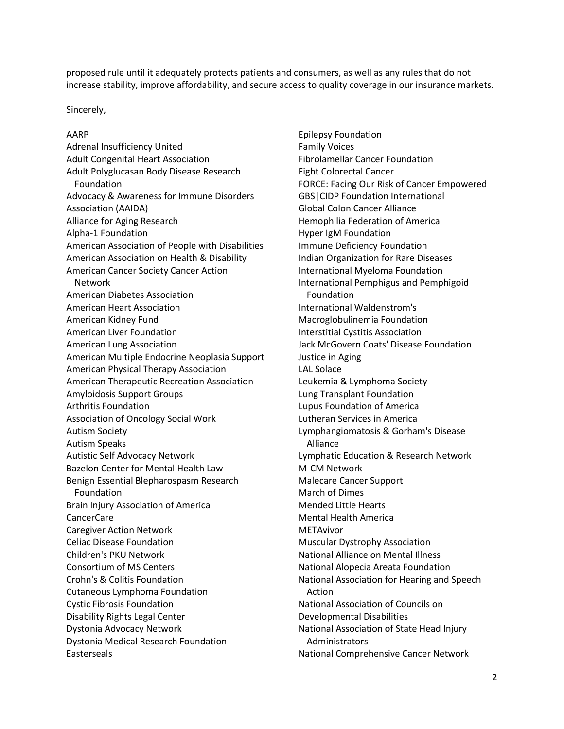proposed rule until it adequately protects patients and consumers, as well as any rules that do not increase stability, improve affordability, and secure access to quality coverage in our insurance markets.

Sincerely,

## AARP

Adrenal Insufficiency United Adult Congenital Heart Association Adult Polyglucasan Body Disease Research Foundation Advocacy & Awareness for Immune Disorders Association (AAIDA) Alliance for Aging Research Alpha-1 Foundation American Association of People with Disabilities American Association on Health & Disability American Cancer Society Cancer Action Network American Diabetes Association American Heart Association American Kidney Fund American Liver Foundation American Lung Association American Multiple Endocrine Neoplasia Support American Physical Therapy Association American Therapeutic Recreation Association Amyloidosis Support Groups Arthritis Foundation Association of Oncology Social Work Autism Society Autism Speaks Autistic Self Advocacy Network Bazelon Center for Mental Health Law Benign Essential Blepharospasm Research Foundation Brain Injury Association of America CancerCare Caregiver Action Network Celiac Disease Foundation Children's PKU Network Consortium of MS Centers Crohn's & Colitis Foundation Cutaneous Lymphoma Foundation Cystic Fibrosis Foundation Disability Rights Legal Center Dystonia Advocacy Network Dystonia Medical Research Foundation Easterseals

Epilepsy Foundation Family Voices Fibrolamellar Cancer Foundation Fight Colorectal Cancer FORCE: Facing Our Risk of Cancer Empowered GBS|CIDP Foundation International Global Colon Cancer Alliance Hemophilia Federation of America Hyper IgM Foundation Immune Deficiency Foundation Indian Organization for Rare Diseases International Myeloma Foundation International Pemphigus and Pemphigoid Foundation International Waldenstrom's Macroglobulinemia Foundation Interstitial Cystitis Association Jack McGovern Coats' Disease Foundation Justice in Aging LAL Solace Leukemia & Lymphoma Society Lung Transplant Foundation Lupus Foundation of America Lutheran Services in America Lymphangiomatosis & Gorham's Disease Alliance Lymphatic Education & Research Network M-CM Network Malecare Cancer Support March of Dimes Mended Little Hearts Mental Health America **METAvivor** Muscular Dystrophy Association National Alliance on Mental Illness National Alopecia Areata Foundation National Association for Hearing and Speech Action National Association of Councils on Developmental Disabilities National Association of State Head Injury Administrators National Comprehensive Cancer Network